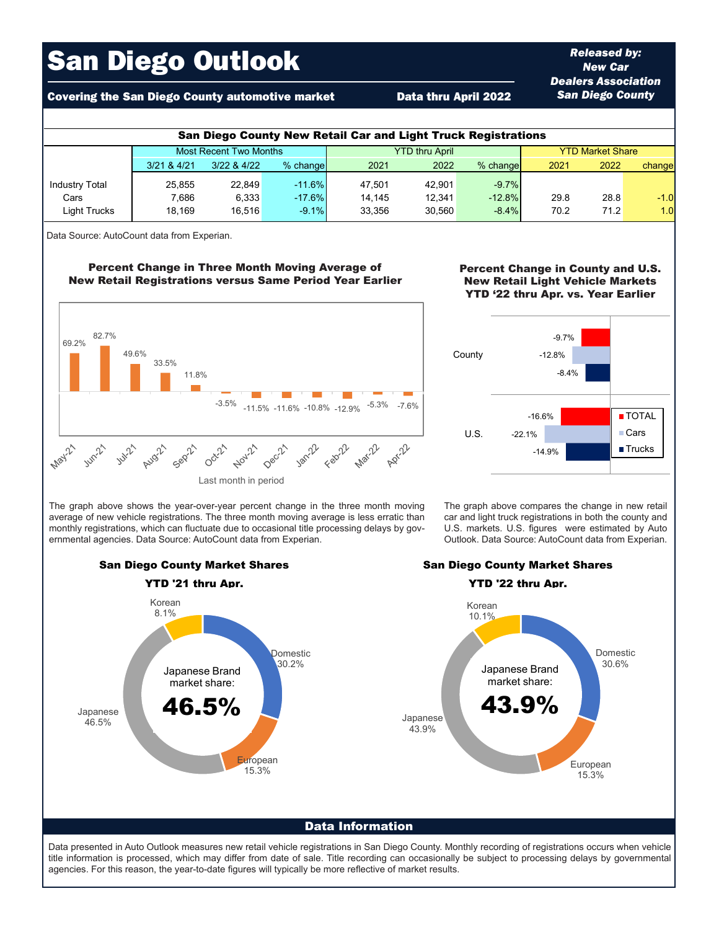# San Diego Outlook

## Covering the San Diego County automotive market **Data thru April 2022**

| <b>San Diego County New Retail Car and Light Truck Registrations</b> |                               |                 |          |                       |        |            |                         |      |        |  |  |  |
|----------------------------------------------------------------------|-------------------------------|-----------------|----------|-----------------------|--------|------------|-------------------------|------|--------|--|--|--|
|                                                                      | <b>Most Recent Two Months</b> |                 |          | <b>YTD thru April</b> |        |            | <b>YTD Market Share</b> |      |        |  |  |  |
|                                                                      | 3/21 & 4/21                   | $3/22$ & $4/22$ | % change | 2021                  | 2022   | $%$ change | 2021                    | 2022 | change |  |  |  |
| <b>Industry Total</b>                                                | 25.855                        | 22.849          | $-11.6%$ | 47.501                | 42.901 | $-9.7%$    |                         |      |        |  |  |  |
| Cars                                                                 | 7.686                         | 6.333           | $-17.6%$ | 14.145                | 12.341 | $-12.8%$   | 29.8                    | 28.8 | $-1.0$ |  |  |  |
| Light Trucks                                                         | 18.169                        | 16.516          | $-9.1%$  | 33.356                | 30.560 | $-8.4%$    | 70.2                    | 71.2 | 1.0    |  |  |  |

Data Source: AutoCount data from Experian.

### Percent Change in Three Month Moving Average of New Retail Registrations versus Same Period Year Earlier



The graph above shows the year-over-year percent change in the three month moving average of new vehicle registrations. The three month moving average is less erratic than monthly registrations, which can fluctuate due to occasional title processing delays by governmental agencies. Data Source: AutoCount data from Experian.



*Released by: New Car Dealers Association San Diego County*



The graph above compares the change in new retail car and light truck registrations in both the county and U.S. markets. U.S. figures were estimated by Auto Outlook. Data Source: AutoCount data from Experian.



Data Information

Data presented in Auto Outlook measures new retail vehicle registrations in San Diego County. Monthly recording of registrations occurs when vehicle title information is processed, which may differ from date of sale. Title recording can occasionally be subject to processing delays by governmental agencies. For this reason, the year-to-date figures will typically be more reflective of market results.